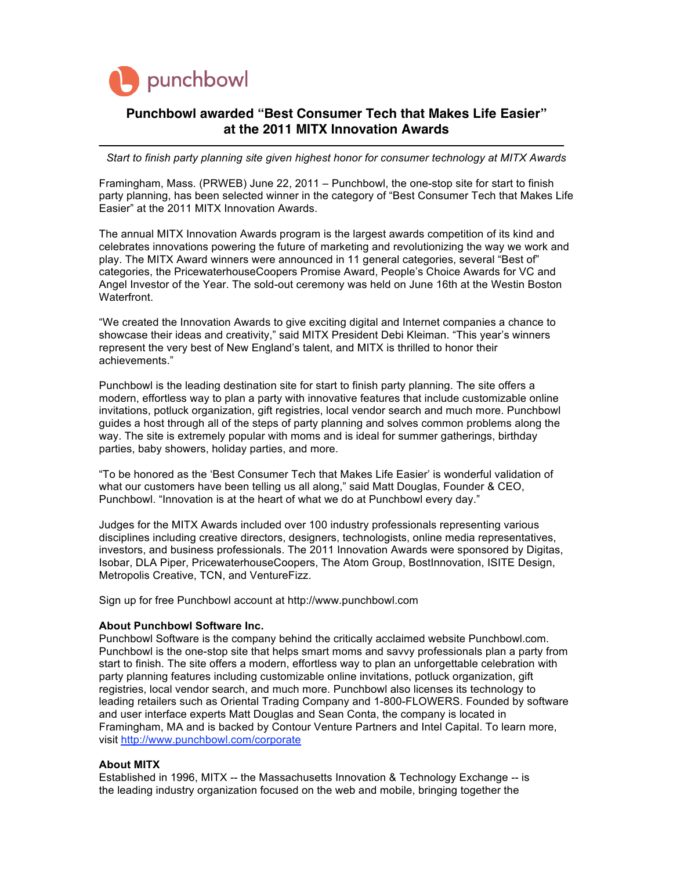

## **Punchbowl awarded "Best Consumer Tech that Makes Life Easier" at the 2011 MITX Innovation Awards**

*Start to finish party planning site given highest honor for consumer technology at MITX Awards* 

Framingham, Mass. (PRWEB) June 22, 2011 – Punchbowl, the one-stop site for start to finish party planning, has been selected winner in the category of "Best Consumer Tech that Makes Life Easier" at the 2011 MITX Innovation Awards.

The annual MITX Innovation Awards program is the largest awards competition of its kind and celebrates innovations powering the future of marketing and revolutionizing the way we work and play. The MITX Award winners were announced in 11 general categories, several "Best of" categories, the PricewaterhouseCoopers Promise Award, People's Choice Awards for VC and Angel Investor of the Year. The sold-out ceremony was held on June 16th at the Westin Boston Waterfront.

"We created the Innovation Awards to give exciting digital and Internet companies a chance to showcase their ideas and creativity," said MITX President Debi Kleiman. "This year's winners represent the very best of New England's talent, and MITX is thrilled to honor their achievements."

Punchbowl is the leading destination site for start to finish party planning. The site offers a modern, effortless way to plan a party with innovative features that include customizable online invitations, potluck organization, gift registries, local vendor search and much more. Punchbowl guides a host through all of the steps of party planning and solves common problems along the way. The site is extremely popular with moms and is ideal for summer gatherings, birthday parties, baby showers, holiday parties, and more.

"To be honored as the 'Best Consumer Tech that Makes Life Easier' is wonderful validation of what our customers have been telling us all along," said Matt Douglas, Founder & CEO, Punchbowl. "Innovation is at the heart of what we do at Punchbowl every day."

Judges for the MITX Awards included over 100 industry professionals representing various disciplines including creative directors, designers, technologists, online media representatives, investors, and business professionals. The 2011 Innovation Awards were sponsored by Digitas, Isobar, DLA Piper, PricewaterhouseCoopers, The Atom Group, BostInnovation, ISITE Design, Metropolis Creative, TCN, and VentureFizz.

Sign up for free Punchbowl account at http://www.punchbowl.com

## **About Punchbowl Software Inc.**

Punchbowl Software is the company behind the critically acclaimed website Punchbowl.com. Punchbowl is the one-stop site that helps smart moms and savvy professionals plan a party from start to finish. The site offers a modern, effortless way to plan an unforgettable celebration with party planning features including customizable online invitations, potluck organization, gift registries, local vendor search, and much more. Punchbowl also licenses its technology to leading retailers such as Oriental Trading Company and 1-800-FLOWERS. Founded by software and user interface experts Matt Douglas and Sean Conta, the company is located in Framingham, MA and is backed by Contour Venture Partners and Intel Capital. To learn more, visit http://www.punchbowl.com/corporate

## **About MITX**

Established in 1996, MITX -- the Massachusetts Innovation & Technology Exchange -- is the leading industry organization focused on the web and mobile, bringing together the